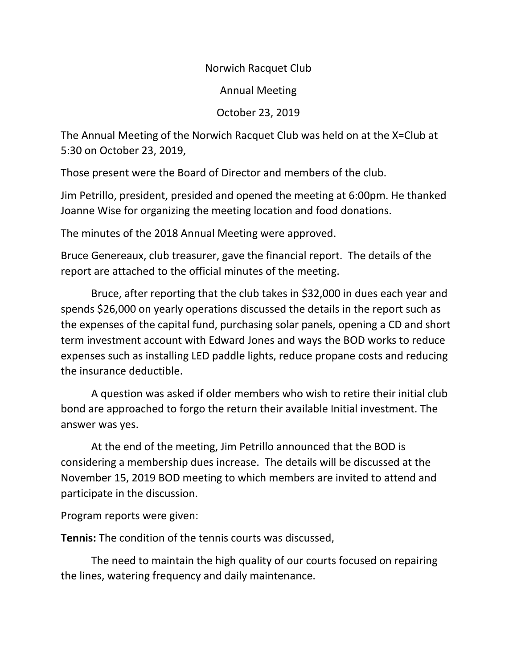Norwich Racquet Club

Annual Meeting

October 23, 2019

The Annual Meeting of the Norwich Racquet Club was held on at the X=Club at 5:30 on October 23, 2019,

Those present were the Board of Director and members of the club.

Jim Petrillo, president, presided and opened the meeting at 6:00pm. He thanked Joanne Wise for organizing the meeting location and food donations.

The minutes of the 2018 Annual Meeting were approved.

Bruce Genereaux, club treasurer, gave the financial report. The details of the report are attached to the official minutes of the meeting.

Bruce, after reporting that the club takes in \$32,000 in dues each year and spends \$26,000 on yearly operations discussed the details in the report such as the expenses of the capital fund, purchasing solar panels, opening a CD and short term investment account with Edward Jones and ways the BOD works to reduce expenses such as installing LED paddle lights, reduce propane costs and reducing the insurance deductible.

A question was asked if older members who wish to retire their initial club bond are approached to forgo the return their available Initial investment. The answer was yes.

At the end of the meeting, Jim Petrillo announced that the BOD is considering a membership dues increase. The details will be discussed at the November 15, 2019 BOD meeting to which members are invited to attend and participate in the discussion.

Program reports were given:

**Tennis:** The condition of the tennis courts was discussed,

The need to maintain the high quality of our courts focused on repairing the lines, watering frequency and daily maintenance.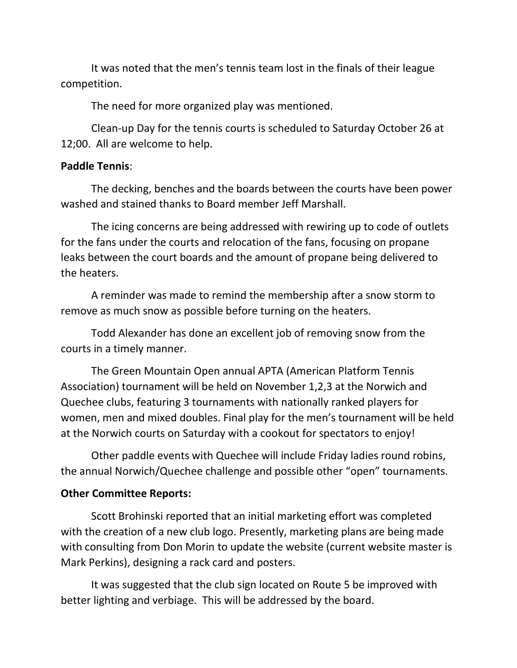It was noted that the men's tennis team lost in the finals of their league competition.

The need for more organized play was mentioned.

Clean-up Day for the tennis courts is scheduled to Saturday October 26 at 12;00. All are welcome to help.

## **Paddle Tennis**:

The decking, benches and the boards between the courts have been power washed and stained thanks to Board member Jeff Marshall.

The icing concerns are being addressed with rewiring up to code of outlets for the fans under the courts and relocation of the fans, focusing on propane leaks between the court boards and the amount of propane being delivered to the heaters.

A reminder was made to remind the membership after a snow storm to remove as much snow as possible before turning on the heaters.

Todd Alexander has done an excellent job of removing snow from the courts in a timely manner.

The Green Mountain Open annual APTA (American Platform Tennis Association) tournament will be held on November 1,2,3 at the Norwich and Quechee clubs, featuring 3 tournaments with nationally ranked players for women, men and mixed doubles. Final play for the men's tournament will be held at the Norwich courts on Saturday with a cookout for spectators to enjoy!

Other paddle events with Quechee will include Friday ladies round robins, the annual Norwich/Quechee challenge and possible other "open" tournaments.

## **Other Committee Reports:**

Scott Brohinski reported that an initial marketing effort was completed with the creation of a new club logo. Presently, marketing plans are being made with consulting from Don Morin to update the website (current website master is Mark Perkins), designing a rack card and posters.

It was suggested that the club sign located on Route 5 be improved with better lighting and verbiage. This will be addressed by the board.